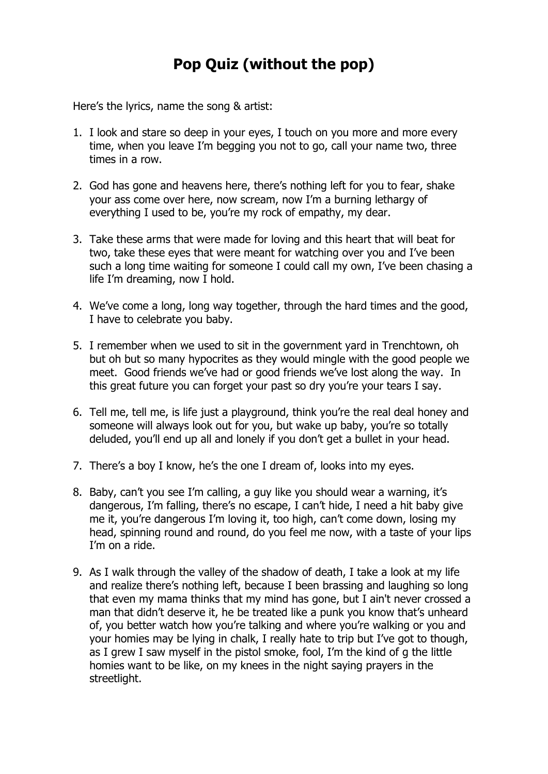## **Pop Quiz (without the pop)**

Here's the lyrics, name the song & artist:

- 1. I look and stare so deep in your eyes, I touch on you more and more every time, when you leave I'm begging you not to go, call your name two, three times in a row.
- 2. God has gone and heavens here, there's nothing left for you to fear, shake your ass come over here, now scream, now I'm a burning lethargy of everything I used to be, you're my rock of empathy, my dear.
- 3. Take these arms that were made for loving and this heart that will beat for two, take these eyes that were meant for watching over you and I've been such a long time waiting for someone I could call my own, I've been chasing a life I'm dreaming, now I hold.
- 4. We've come a long, long way together, through the hard times and the good, I have to celebrate you baby.
- 5. I remember when we used to sit in the government yard in Trenchtown, oh but oh but so many hypocrites as they would mingle with the good people we meet. Good friends we've had or good friends we've lost along the way. In this great future you can forget your past so dry you're your tears I say.
- 6. Tell me, tell me, is life just a playground, think you're the real deal honey and someone will always look out for you, but wake up baby, you're so totally deluded, you'll end up all and lonely if you don't get a bullet in your head.
- 7. There's a boy I know, he's the one I dream of, looks into my eyes.
- 8. Baby, can't you see I'm calling, a guy like you should wear a warning, it's dangerous, I'm falling, there's no escape, I can't hide, I need a hit baby give me it, you're dangerous I'm loving it, too high, can't come down, losing my head, spinning round and round, do you feel me now, with a taste of your lips I'm on a ride.
- 9. As I walk through the valley of the shadow of death, I take a look at my life and realize there's nothing left, because I been brassing and laughing so long that even my mama thinks that my mind has gone, but I ain't never crossed a man that didn't deserve it, he be treated like a punk you know that's unheard of, you better watch how you're talking and where you're walking or you and your homies may be lying in chalk, I really hate to trip but I've got to though, as I grew I saw myself in the pistol smoke, fool, I'm the kind of g the little homies want to be like, on my knees in the night saying prayers in the streetlight.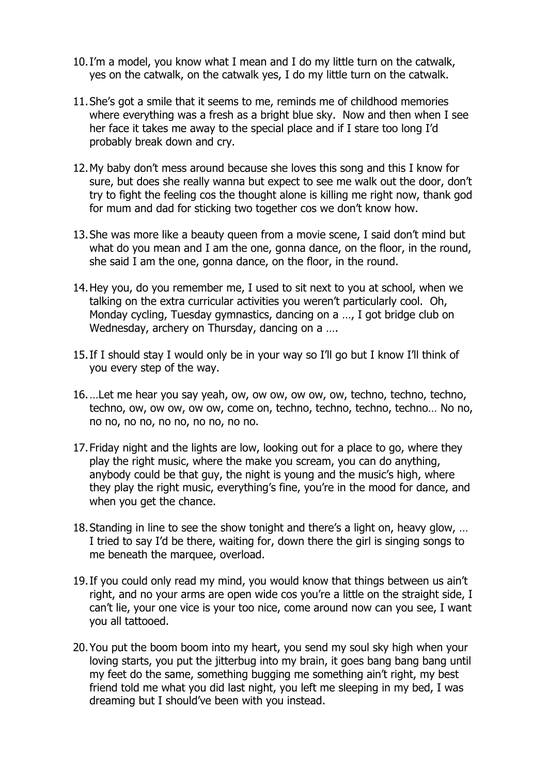- 10.I'm a model, you know what I mean and I do my little turn on the catwalk, yes on the catwalk, on the catwalk yes, I do my little turn on the catwalk.
- 11.She's got a smile that it seems to me, reminds me of childhood memories where everything was a fresh as a bright blue sky. Now and then when I see her face it takes me away to the special place and if I stare too long I'd probably break down and cry.
- 12.My baby don't mess around because she loves this song and this I know for sure, but does she really wanna but expect to see me walk out the door, don't try to fight the feeling cos the thought alone is killing me right now, thank god for mum and dad for sticking two together cos we don't know how.
- 13.She was more like a beauty queen from a movie scene, I said don't mind but what do you mean and I am the one, gonna dance, on the floor, in the round, she said I am the one, gonna dance, on the floor, in the round.
- 14.Hey you, do you remember me, I used to sit next to you at school, when we talking on the extra curricular activities you weren't particularly cool. Oh, Monday cycling, Tuesday gymnastics, dancing on a …, I got bridge club on Wednesday, archery on Thursday, dancing on a ….
- 15.If I should stay I would only be in your way so I'll go but I know I'll think of you every step of the way.
- 16.…Let me hear you say yeah, ow, ow ow, ow ow, ow, techno, techno, techno, techno, ow, ow ow, ow ow, come on, techno, techno, techno, techno… No no, no no, no no, no no, no no, no no.
- 17.Friday night and the lights are low, looking out for a place to go, where they play the right music, where the make you scream, you can do anything, anybody could be that guy, the night is young and the music's high, where they play the right music, everything's fine, you're in the mood for dance, and when you get the chance.
- 18.Standing in line to see the show tonight and there's a light on, heavy glow, … I tried to say I'd be there, waiting for, down there the girl is singing songs to me beneath the marquee, overload.
- 19.If you could only read my mind, you would know that things between us ain't right, and no your arms are open wide cos you're a little on the straight side, I can't lie, your one vice is your too nice, come around now can you see, I want you all tattooed.
- 20.You put the boom boom into my heart, you send my soul sky high when your loving starts, you put the jitterbug into my brain, it goes bang bang bang until my feet do the same, something bugging me something ain't right, my best friend told me what you did last night, you left me sleeping in my bed, I was dreaming but I should've been with you instead.